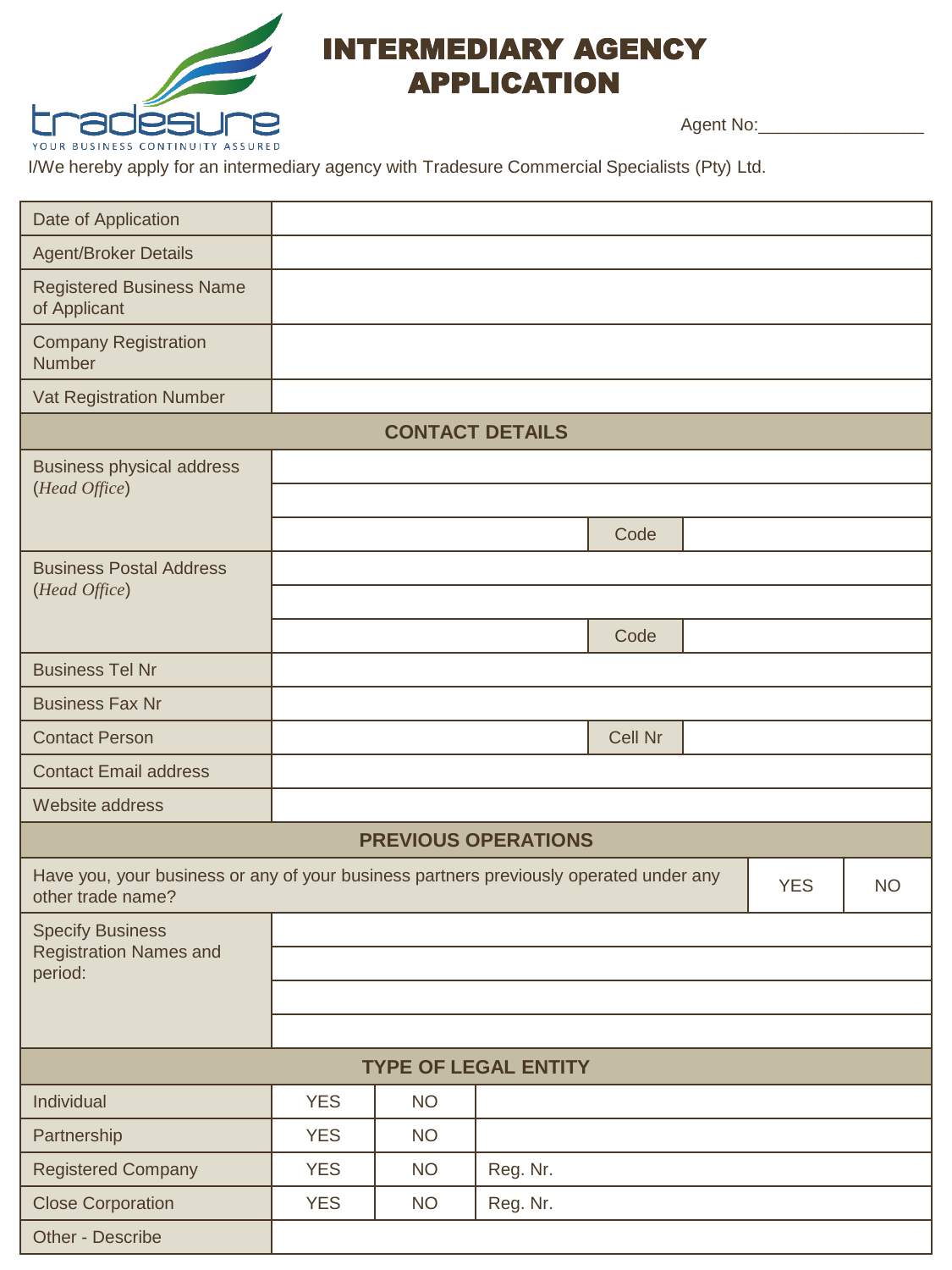

## INTERMEDIARY AGENCY APPLICATION

Agent No:\_\_\_\_\_\_\_\_\_\_\_\_\_\_\_\_\_

I/We hereby apply for an intermediary agency with Tradesure Commercial Specialists (Pty) Ltd.

| Date of Application                                                                                         |            |           |                            |                |  |            |           |
|-------------------------------------------------------------------------------------------------------------|------------|-----------|----------------------------|----------------|--|------------|-----------|
| <b>Agent/Broker Details</b>                                                                                 |            |           |                            |                |  |            |           |
| <b>Registered Business Name</b><br>of Applicant                                                             |            |           |                            |                |  |            |           |
| <b>Company Registration</b><br><b>Number</b>                                                                |            |           |                            |                |  |            |           |
| Vat Registration Number                                                                                     |            |           |                            |                |  |            |           |
|                                                                                                             |            |           | <b>CONTACT DETAILS</b>     |                |  |            |           |
| <b>Business physical address</b>                                                                            |            |           |                            |                |  |            |           |
| (Head Office)                                                                                               |            |           |                            |                |  |            |           |
|                                                                                                             |            |           |                            | Code           |  |            |           |
| <b>Business Postal Address</b>                                                                              |            |           |                            |                |  |            |           |
| (Head Office)                                                                                               |            |           |                            |                |  |            |           |
|                                                                                                             |            |           |                            | Code           |  |            |           |
| <b>Business Tel Nr</b>                                                                                      |            |           |                            |                |  |            |           |
| <b>Business Fax Nr</b>                                                                                      |            |           |                            |                |  |            |           |
| <b>Contact Person</b>                                                                                       |            |           |                            | <b>Cell Nr</b> |  |            |           |
| <b>Contact Email address</b>                                                                                |            |           |                            |                |  |            |           |
| Website address                                                                                             |            |           |                            |                |  |            |           |
|                                                                                                             |            |           | <b>PREVIOUS OPERATIONS</b> |                |  |            |           |
| Have you, your business or any of your business partners previously operated under any<br>other trade name? |            |           |                            |                |  | <b>YES</b> | <b>NO</b> |
| <b>Specify Business</b>                                                                                     |            |           |                            |                |  |            |           |
| <b>Registration Names and</b><br>period:                                                                    |            |           |                            |                |  |            |           |
|                                                                                                             |            |           |                            |                |  |            |           |
|                                                                                                             |            |           |                            |                |  |            |           |
| <b>TYPE OF LEGAL ENTITY</b>                                                                                 |            |           |                            |                |  |            |           |
| Individual                                                                                                  | <b>YES</b> | <b>NO</b> |                            |                |  |            |           |
| Partnership                                                                                                 | <b>YES</b> | <b>NO</b> |                            |                |  |            |           |
| <b>Registered Company</b>                                                                                   | <b>YES</b> | <b>NO</b> | Reg. Nr.                   |                |  |            |           |
| <b>Close Corporation</b>                                                                                    | <b>YES</b> | <b>NO</b> | Reg. Nr.                   |                |  |            |           |
| Other - Describe                                                                                            |            |           |                            |                |  |            |           |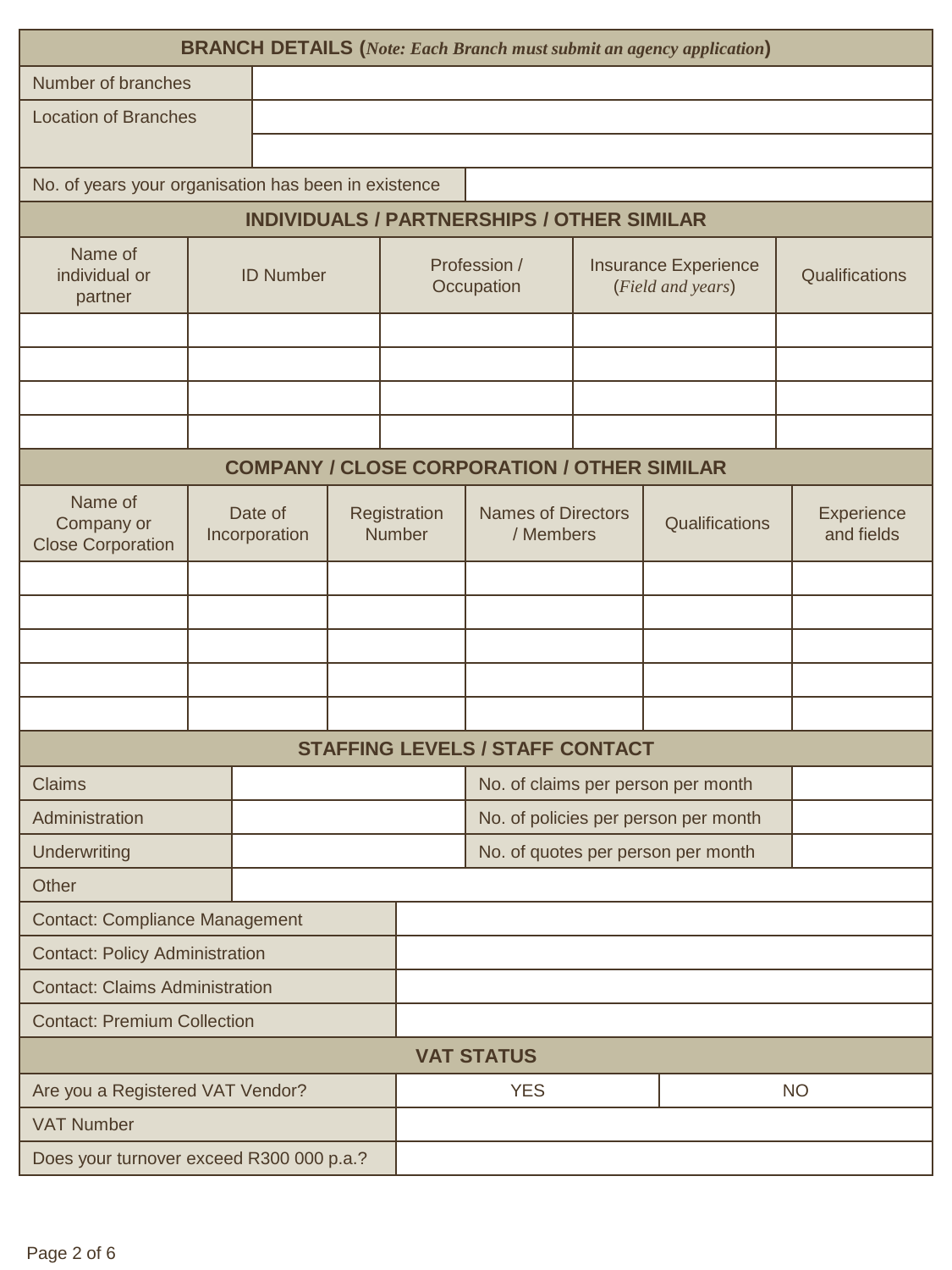| <b>BRANCH DETAILS</b> (Note: Each Branch must submit an agency application) |  |                            |  |                                                  |                                                    |                |                                    |                          |
|-----------------------------------------------------------------------------|--|----------------------------|--|--------------------------------------------------|----------------------------------------------------|----------------|------------------------------------|--------------------------|
| Number of branches                                                          |  |                            |  |                                                  |                                                    |                |                                    |                          |
| <b>Location of Branches</b>                                                 |  |                            |  |                                                  |                                                    |                |                                    |                          |
|                                                                             |  |                            |  |                                                  |                                                    |                |                                    |                          |
| No. of years your organisation has been in existence                        |  |                            |  |                                                  |                                                    |                |                                    |                          |
| <b>INDIVIDUALS / PARTNERSHIPS / OTHER SIMILAR</b>                           |  |                            |  |                                                  |                                                    |                |                                    |                          |
| Name of<br>individual or<br><b>ID Number</b><br>partner                     |  | Profession /<br>Occupation |  | <b>Insurance Experience</b><br>(Field and years) |                                                    | Qualifications |                                    |                          |
|                                                                             |  |                            |  |                                                  |                                                    |                |                                    |                          |
|                                                                             |  |                            |  |                                                  |                                                    |                |                                    |                          |
|                                                                             |  |                            |  |                                                  |                                                    |                |                                    |                          |
|                                                                             |  |                            |  |                                                  |                                                    |                |                                    |                          |
|                                                                             |  |                            |  |                                                  | <b>COMPANY / CLOSE CORPORATION / OTHER SIMILAR</b> |                |                                    |                          |
| Name of<br>Company or<br><b>Close Corporation</b>                           |  | Date of<br>Incorporation   |  | Registration<br><b>Number</b>                    | <b>Names of Directors</b><br>/ Members             |                | Qualifications                     | Experience<br>and fields |
|                                                                             |  |                            |  |                                                  |                                                    |                |                                    |                          |
|                                                                             |  |                            |  |                                                  |                                                    |                |                                    |                          |
|                                                                             |  |                            |  |                                                  |                                                    |                |                                    |                          |
|                                                                             |  |                            |  |                                                  |                                                    |                |                                    |                          |
|                                                                             |  |                            |  |                                                  |                                                    |                |                                    |                          |
| <b>STAFFING LEVELS / STAFF CONTACT</b>                                      |  |                            |  |                                                  |                                                    |                |                                    |                          |
| <b>Claims</b>                                                               |  |                            |  |                                                  |                                                    |                | No. of claims per person per month |                          |
| Administration                                                              |  |                            |  |                                                  | No. of policies per person per month               |                |                                    |                          |
| Underwriting                                                                |  |                            |  |                                                  | No. of quotes per person per month                 |                |                                    |                          |
| Other                                                                       |  |                            |  |                                                  |                                                    |                |                                    |                          |
| <b>Contact: Compliance Management</b>                                       |  |                            |  |                                                  |                                                    |                |                                    |                          |
| <b>Contact: Policy Administration</b>                                       |  |                            |  |                                                  |                                                    |                |                                    |                          |
| <b>Contact: Claims Administration</b>                                       |  |                            |  |                                                  |                                                    |                |                                    |                          |
| <b>Contact: Premium Collection</b>                                          |  |                            |  |                                                  |                                                    |                |                                    |                          |
| <b>VAT STATUS</b>                                                           |  |                            |  |                                                  |                                                    |                |                                    |                          |
| Are you a Registered VAT Vendor?                                            |  |                            |  |                                                  | <b>YES</b>                                         |                |                                    | <b>NO</b>                |
| <b>VAT Number</b>                                                           |  |                            |  |                                                  |                                                    |                |                                    |                          |
| Does your turnover exceed R300 000 p.a.?                                    |  |                            |  |                                                  |                                                    |                |                                    |                          |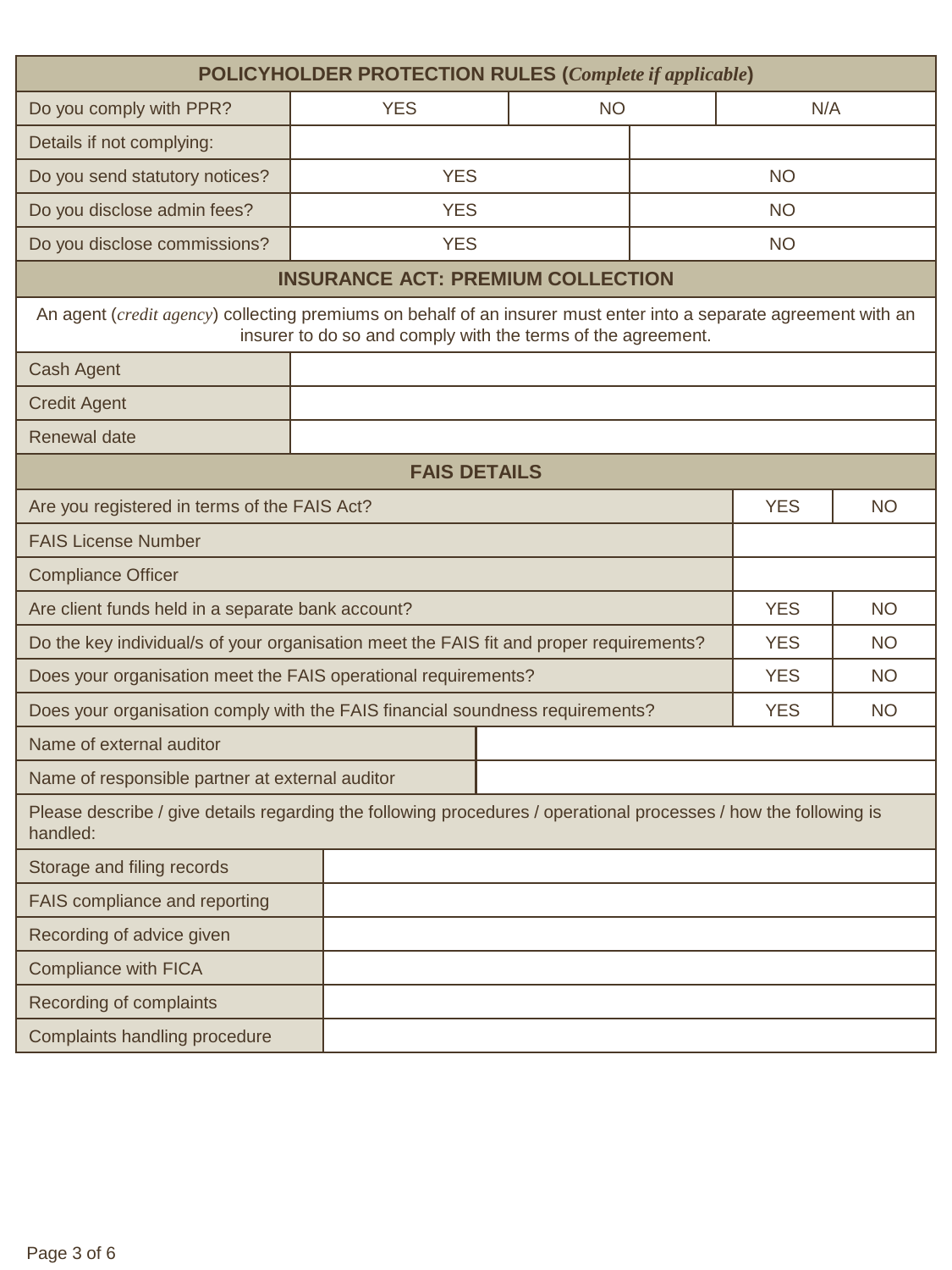| POLICYHOLDER PROTECTION RULES (Complete if applicable)                                                                       |                                                              |           |  |            |                 |  |  |  |  |
|------------------------------------------------------------------------------------------------------------------------------|--------------------------------------------------------------|-----------|--|------------|-----------------|--|--|--|--|
| Do you comply with PPR?                                                                                                      | <b>YES</b>                                                   | <b>NO</b> |  |            | N/A             |  |  |  |  |
| Details if not complying:                                                                                                    |                                                              |           |  |            |                 |  |  |  |  |
| Do you send statutory notices?                                                                                               | <b>YES</b>                                                   |           |  |            |                 |  |  |  |  |
| Do you disclose admin fees?                                                                                                  | <b>YES</b>                                                   |           |  | <b>NO</b>  |                 |  |  |  |  |
| Do you disclose commissions?                                                                                                 | <b>YES</b>                                                   |           |  | <b>NO</b>  |                 |  |  |  |  |
| <b>INSURANCE ACT: PREMIUM COLLECTION</b>                                                                                     |                                                              |           |  |            |                 |  |  |  |  |
| An agent (credit agency) collecting premiums on behalf of an insurer must enter into a separate agreement with an            | insurer to do so and comply with the terms of the agreement. |           |  |            |                 |  |  |  |  |
| Cash Agent                                                                                                                   |                                                              |           |  |            |                 |  |  |  |  |
| <b>Credit Agent</b>                                                                                                          |                                                              |           |  |            |                 |  |  |  |  |
| <b>Renewal date</b>                                                                                                          |                                                              |           |  |            |                 |  |  |  |  |
| <b>FAIS DETAILS</b>                                                                                                          |                                                              |           |  |            |                 |  |  |  |  |
| Are you registered in terms of the FAIS Act?<br><b>YES</b><br><b>NO</b>                                                      |                                                              |           |  |            |                 |  |  |  |  |
| <b>FAIS License Number</b>                                                                                                   |                                                              |           |  |            |                 |  |  |  |  |
| <b>Compliance Officer</b>                                                                                                    |                                                              |           |  |            |                 |  |  |  |  |
| <b>YES</b><br>Are client funds held in a separate bank account?<br><b>NO</b>                                                 |                                                              |           |  |            |                 |  |  |  |  |
| Do the key individual/s of your organisation meet the FAIS fit and proper requirements?                                      |                                                              |           |  | <b>YES</b> | NO <sub>1</sub> |  |  |  |  |
| Does your organisation meet the FAIS operational requirements?                                                               |                                                              |           |  | <b>YES</b> | <b>NO</b>       |  |  |  |  |
| Does your organisation comply with the FAIS financial soundness requirements?                                                |                                                              |           |  | <b>YES</b> | <b>NO</b>       |  |  |  |  |
| Name of external auditor                                                                                                     |                                                              |           |  |            |                 |  |  |  |  |
| Name of responsible partner at external auditor                                                                              |                                                              |           |  |            |                 |  |  |  |  |
| Please describe / give details regarding the following procedures / operational processes / how the following is<br>handled: |                                                              |           |  |            |                 |  |  |  |  |
| Storage and filing records                                                                                                   |                                                              |           |  |            |                 |  |  |  |  |
| FAIS compliance and reporting                                                                                                |                                                              |           |  |            |                 |  |  |  |  |
| Recording of advice given                                                                                                    |                                                              |           |  |            |                 |  |  |  |  |
| <b>Compliance with FICA</b>                                                                                                  |                                                              |           |  |            |                 |  |  |  |  |
| Recording of complaints                                                                                                      |                                                              |           |  |            |                 |  |  |  |  |
| Complaints handling procedure                                                                                                |                                                              |           |  |            |                 |  |  |  |  |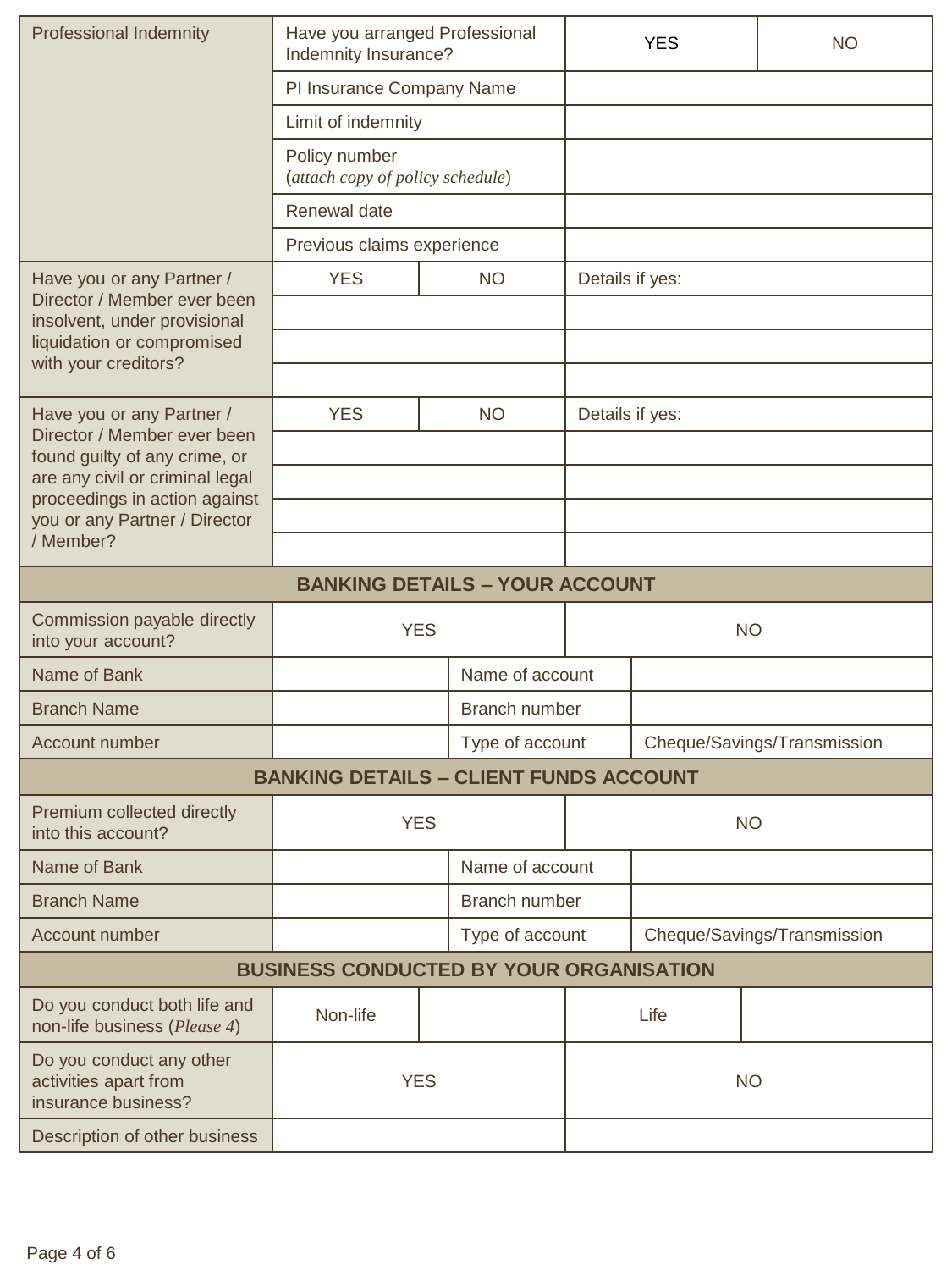| <b>Professional Indemnity</b>                                            | Have you arranged Professional<br>Indemnity Insurance? |  |                 | <b>YES</b>                  | <b>NO</b>                   |           |  |
|--------------------------------------------------------------------------|--------------------------------------------------------|--|-----------------|-----------------------------|-----------------------------|-----------|--|
|                                                                          | PI Insurance Company Name                              |  |                 |                             |                             |           |  |
|                                                                          | Limit of indemnity                                     |  |                 |                             |                             |           |  |
|                                                                          | Policy number<br>(attach copy of policy schedule)      |  |                 |                             |                             |           |  |
|                                                                          | Renewal date                                           |  |                 |                             |                             |           |  |
|                                                                          | Previous claims experience                             |  |                 |                             |                             |           |  |
| Have you or any Partner /                                                | <b>YES</b>                                             |  | <b>NO</b>       | Details if yes:             |                             |           |  |
| Director / Member ever been<br>insolvent, under provisional              |                                                        |  |                 |                             |                             |           |  |
| liquidation or compromised                                               |                                                        |  |                 |                             |                             |           |  |
| with your creditors?                                                     |                                                        |  |                 |                             |                             |           |  |
| Have you or any Partner /                                                | <b>YES</b>                                             |  | <b>NO</b>       |                             | Details if yes:             |           |  |
| Director / Member ever been<br>found guilty of any crime, or             |                                                        |  |                 |                             |                             |           |  |
| are any civil or criminal legal                                          |                                                        |  |                 |                             |                             |           |  |
| proceedings in action against<br>you or any Partner / Director           |                                                        |  |                 |                             |                             |           |  |
| / Member?                                                                |                                                        |  |                 |                             |                             |           |  |
| <b>BANKING DETAILS - YOUR ACCOUNT</b>                                    |                                                        |  |                 |                             |                             |           |  |
| Commission payable directly<br>into your account?                        | <b>YES</b>                                             |  |                 | <b>NO</b>                   |                             |           |  |
| Name of Bank                                                             |                                                        |  | Name of account |                             |                             |           |  |
| <b>Branch Name</b>                                                       |                                                        |  | Branch number   |                             |                             |           |  |
| Account number                                                           |                                                        |  | Type of account | Cheque/Savings/Transmission |                             |           |  |
|                                                                          | <b>BANKING DETAILS - CLIENT FUNDS ACCOUNT</b>          |  |                 |                             |                             |           |  |
| Premium collected directly<br>into this account?                         | <b>YES</b>                                             |  |                 |                             | <b>NO</b>                   |           |  |
| Name of Bank                                                             |                                                        |  | Name of account |                             |                             |           |  |
| <b>Branch Name</b>                                                       |                                                        |  | Branch number   |                             |                             |           |  |
| Account number                                                           |                                                        |  | Type of account |                             | Cheque/Savings/Transmission |           |  |
|                                                                          | <b>BUSINESS CONDUCTED BY YOUR ORGANISATION</b>         |  |                 |                             |                             |           |  |
| Do you conduct both life and<br>non-life business (Please 4)             | Non-life                                               |  |                 |                             | Life                        |           |  |
| Do you conduct any other<br>activities apart from<br>insurance business? | <b>YES</b>                                             |  |                 |                             |                             | <b>NO</b> |  |
| Description of other business                                            |                                                        |  |                 |                             |                             |           |  |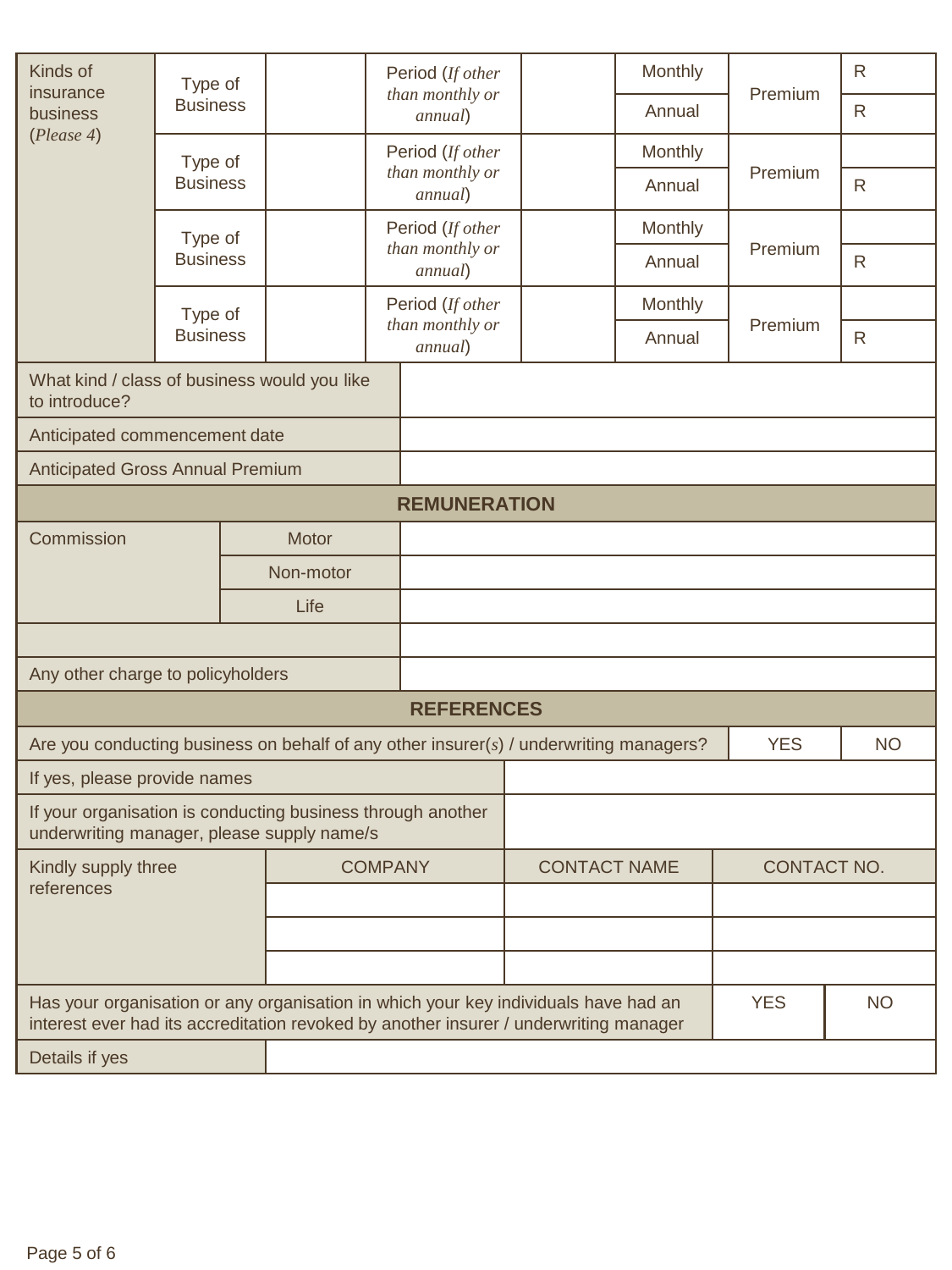| Kinds of<br>Type of<br>insurance<br><b>Business</b><br>business                                                                                                              |                 |  | Period (If other<br>than monthly or |                            | Monthly |             | R          |              |
|------------------------------------------------------------------------------------------------------------------------------------------------------------------------------|-----------------|--|-------------------------------------|----------------------------|---------|-------------|------------|--------------|
|                                                                                                                                                                              |                 |  |                                     | annual)                    |         | Annual      | Premium    | $\mathsf{R}$ |
| (Please 4)                                                                                                                                                                   | Type of         |  |                                     | Period (If other           |         | Monthly     |            |              |
|                                                                                                                                                                              | <b>Business</b> |  | than monthly or<br>annual)          |                            |         | Annual      | Premium    | $\mathsf{R}$ |
|                                                                                                                                                                              | Type of         |  |                                     | Period (If other           |         | Monthly     |            |              |
|                                                                                                                                                                              | <b>Business</b> |  |                                     | than monthly or<br>annual) |         | Annual      | Premium    | $\mathsf{R}$ |
|                                                                                                                                                                              | Type of         |  |                                     | Period (If other           |         | Monthly     |            |              |
|                                                                                                                                                                              | <b>Business</b> |  | than monthly or<br>annual)          |                            |         | Annual      | Premium    | $\mathsf{R}$ |
| What kind / class of business would you like<br>to introduce?                                                                                                                |                 |  |                                     |                            |         |             |            |              |
| Anticipated commencement date                                                                                                                                                |                 |  |                                     |                            |         |             |            |              |
| <b>Anticipated Gross Annual Premium</b>                                                                                                                                      |                 |  |                                     |                            |         |             |            |              |
| <b>REMUNERATION</b>                                                                                                                                                          |                 |  |                                     |                            |         |             |            |              |
| Commission<br>Motor                                                                                                                                                          |                 |  |                                     |                            |         |             |            |              |
| Non-motor                                                                                                                                                                    |                 |  |                                     |                            |         |             |            |              |
| Life                                                                                                                                                                         |                 |  |                                     |                            |         |             |            |              |
|                                                                                                                                                                              |                 |  |                                     |                            |         |             |            |              |
| Any other charge to policyholders                                                                                                                                            |                 |  |                                     |                            |         |             |            |              |
|                                                                                                                                                                              |                 |  |                                     | <b>REFERENCES</b>          |         |             |            |              |
| Are you conducting business on behalf of any other insurer(s) / underwriting managers?                                                                                       |                 |  |                                     |                            |         |             | <b>YES</b> | <b>NO</b>    |
| If yes, please provide names                                                                                                                                                 |                 |  |                                     |                            |         |             |            |              |
| If your organisation is conducting business through another<br>underwriting manager, please supply name/s                                                                    |                 |  |                                     |                            |         |             |            |              |
| Kindly supply three                                                                                                                                                          |                 |  | <b>COMPANY</b>                      | <b>CONTACT NAME</b>        |         | CONTACT NO. |            |              |
| references                                                                                                                                                                   |                 |  |                                     |                            |         |             |            |              |
|                                                                                                                                                                              |                 |  |                                     |                            |         |             |            |              |
|                                                                                                                                                                              |                 |  |                                     |                            |         |             |            |              |
| Has your organisation or any organisation in which your key individuals have had an<br>interest ever had its accreditation revoked by another insurer / underwriting manager |                 |  |                                     |                            |         | <b>YES</b>  | <b>NO</b>  |              |
| Details if yes                                                                                                                                                               |                 |  |                                     |                            |         |             |            |              |